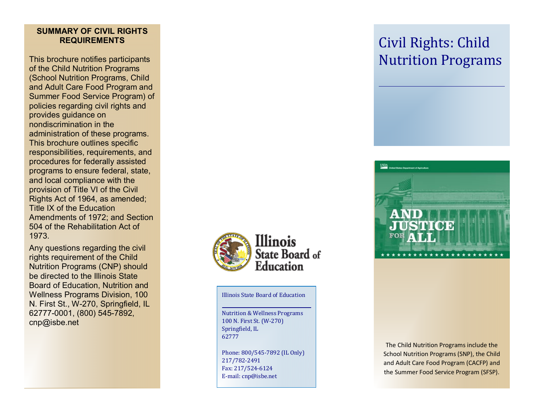# **SUMMARY OF CIVIL RIGHTS REQUIREMENTS**

This brochure notifies participants of the Child Nutrition Programs (School Nutrition Programs, Child and Adult Care Food Program and Summer Food Service Program) of policies regarding civil rights and provides guidance on nondiscrimination in the administration of these programs. This brochure outlines specific responsibilities, requirements, and procedures for federally assisted programs to ensure federal, state, and local compliance with the provision of Title VI of the Civil Rights Act of 1964, as amended; Title IX of the Education Amendments of 1972; and Section 504 of the Rehabilitation Act of 1973.

Any questions regarding the civil rights requirement of the Child Nutrition Programs (CNP) should be directed to the Illinois State Board of Education, Nutrition and Wellness Programs Division, 100 N. First St., W -270, Springfield, IL 62777 -0001, (800) 545 -7892, cnp@isbe.net



Illinois State Board of Education

Nutrition & Wellness Programs 100 N. First St. (W -270) Springfield, IL 62777

Phone: 800/545 -7892 (IL Only) 217/782 -2491 Fax: 217/524 -6124 E -mail: cnp@isbe.net

# Civil Rights: Child Nutrition Programs



The Child Nutrition Programs include the School Nutrition Programs (SNP), the Child and Adult Care Food Program (CACFP) and the Summer Food Service Program (SFSP).